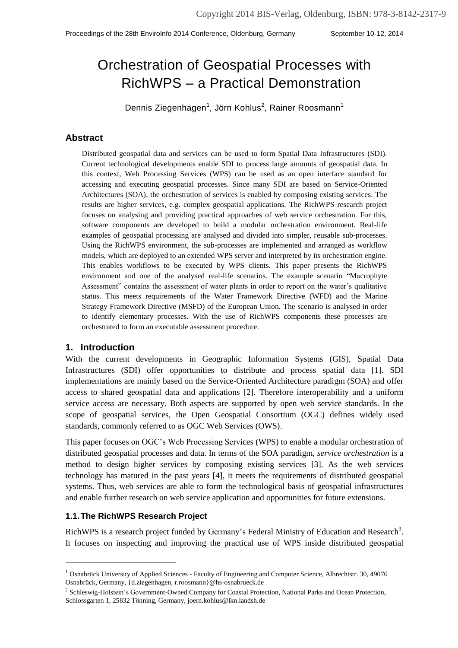# Orchestration of Geospatial Processes with RichWPS – a Practical Demonstration

<span id="page-0-0"></span>Dennis Ziegenhagen<sup>[1](#page-0-0)</sup>, Jörn Kohlus<sup>2</sup>, Rainer Roosmann<sup>1</sup>

#### **Abstract**

Distributed geospatial data and services can be used to form Spatial Data Infrastructures (SDI). Current technological developments enable SDI to process large amounts of geospatial data. In this context, Web Processing Services (WPS) can be used as an open interface standard for accessing and executing geospatial processes. Since many SDI are based on Service-Oriented Architectures (SOA), the orchestration of services is enabled by composing existing services. The results are higher services, e.g. complex geospatial applications. The RichWPS research project focuses on analysing and providing practical approaches of web service orchestration. For this, software components are developed to build a modular orchestration environment. Real-life examples of geospatial processing are analysed and divided into simpler, reusable sub-processes. Using the RichWPS environment, the sub-processes are implemented and arranged as workflow models, which are deployed to an extended WPS server and interpreted by its orchestration engine. This enables workflows to be executed by WPS clients. This paper presents the RichWPS environment and one of the analysed real-life scenarios. The example scenario "Macrophyte Assessment" contains the assessment of water plants in order to report on the water's qualitative status. This meets requirements of the Water Framework Directive (WFD) and the Marine Strategy Framework Directive (MSFD) of the European Union. The scenario is analysed in order to identify elementary processes. With the use of RichWPS components these processes are orchestrated to form an executable assessment procedure.

#### **1. Introduction**

-

With the current developments in Geographic Information Systems (GIS), Spatial Data Infrastructures (SDI) offer opportunities to distribute and process spatial data [1]. SDI implementations are mainly based on the Service-Oriented Architecture paradigm (SOA) and offer access to shared geospatial data and applications [2]. Therefore interoperability and a uniform service access are necessary. Both aspects are supported by open web service standards. In the scope of geospatial services, the Open Geospatial Consortium (OGC) defines widely used standards, commonly referred to as OGC Web Services (OWS).

This paper focuses on OGC's Web Processing Services (WPS) to enable a modular orchestration of distributed geospatial processes and data. In terms of the SOA paradigm, *service orchestration* is a method to design higher services by composing existing services [3]. As the web services technology has matured in the past years [4], it meets the requirements of distributed geospatial systems. Thus, web services are able to form the technological basis of geospatial infrastructures and enable further research on web service application and opportunities for future extensions.

#### **1.1. The RichWPS Research Project**

RichWPS is a research project funded by Germany's Federal Ministry of Education and Research<sup>3</sup>. It focuses on inspecting and improving the practical use of WPS inside distributed geospatial

<sup>&</sup>lt;sup>1</sup> Osnabrück University of Applied Sciences - Faculty of Engineering and Computer Science, Albrechtstr. 30, 49076 Osnabrück, Germany, {d.ziegenhagen, r.roosmann}@hs-osnabrueck.de

<sup>&</sup>lt;sup>2</sup> Schleswig-Holstein's Government-Owned Company for Coastal Protection, National Parks and Ocean Protection, Schlossgarten 1, 25832 Tönning, Germany, joern.kohlus@lkn.landsh.de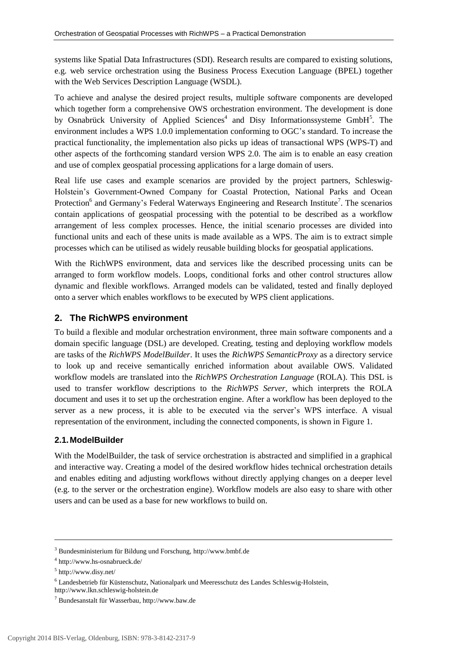systems like Spatial Data Infrastructures (SDI). Research results are compared to existing solutions, e.g. web service orchestration using the Business Process Execution Language (BPEL) together with the Web Services Description Language (WSDL).

To achieve and analyse the desired project results, multiple software components are developed which together form a comprehensive OWS orchestration environment. The development is done by Osnabrück University of Applied Sciences<sup>4</sup> and Disy Informationssysteme GmbH<sup>5</sup>. The environment includes a WPS 1.0.0 implementation conforming to OGC's standard. To increase the practical functionality, the implementation also picks up ideas of transactional WPS (WPS-T) and other aspects of the forthcoming standard version WPS 2.0. The aim is to enable an easy creation and use of complex geospatial processing applications for a large domain of users.

Real life use cases and example scenarios are provided by the project partners, Schleswig-Holstein's Government-Owned Company for Coastal Protection, National Parks and Ocean Protection<sup>6</sup> and Germany's Federal Waterways Engineering and Research Institute<sup>7</sup>. The scenarios contain applications of geospatial processing with the potential to be described as a workflow arrangement of less complex processes. Hence, the initial scenario processes are divided into functional units and each of these units is made available as a WPS. The aim is to extract simple processes which can be utilised as widely reusable building blocks for geospatial applications.

With the RichWPS environment, data and services like the described processing units can be arranged to form workflow models. Loops, conditional forks and other control structures allow dynamic and flexible workflows. Arranged models can be validated, tested and finally deployed onto a server which enables workflows to be executed by WPS client applications.

## **2. The RichWPS environment**

To build a flexible and modular orchestration environment, three main software components and a domain specific language (DSL) are developed. Creating, testing and deploying workflow models are tasks of the *RichWPS ModelBuilder*. It uses the *RichWPS SemanticProxy* as a directory service to look up and receive semantically enriched information about available OWS. Validated workflow models are translated into the *RichWPS Orchestration Language* (ROLA). This DSL is used to transfer workflow descriptions to the *RichWPS Server*, which interprets the ROLA document and uses it to set up the orchestration engine. After a workflow has been deployed to the server as a new process, it is able to be executed via the server's WPS interface. A visual representation of the environment, including the connected components, is shown i[n Figure 1.](#page-2-0)

#### **2.1. ModelBuilder**

With the ModelBuilder, the task of service orchestration is abstracted and simplified in a graphical and interactive way. Creating a model of the desired workflow hides technical orchestration details and enables editing and adjusting workflows without directly applying changes on a deeper level (e.g. to the server or the orchestration engine). Workflow models are also easy to share with other users and can be used as a base for new workflows to build on.

l

<sup>3</sup> Bundesministerium für Bildung und Forschung, http://www.bmbf.de

<sup>4</sup> http://www.hs-osnabrueck.de/

<sup>5</sup> http://www.disy.net/

<sup>6</sup> Landesbetrieb für Küstenschutz, Nationalpark und Meeresschutz des Landes Schleswig-Holstein,

http://www.lkn.schleswig-holstein.de

<sup>7</sup> Bundesanstalt für Wasserbau, http://www.baw.de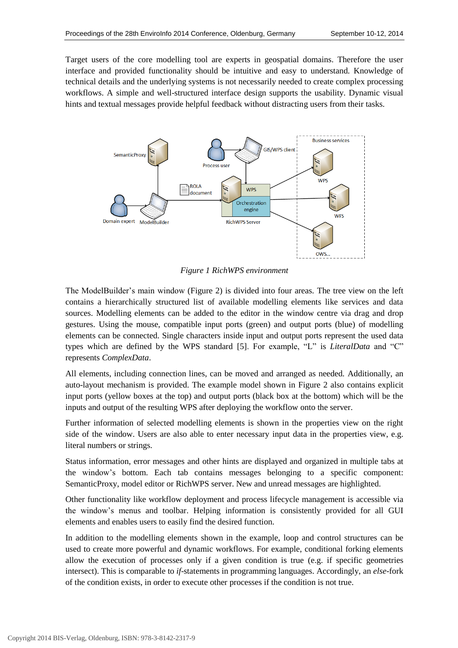Target users of the core modelling tool are experts in geospatial domains. Therefore the user interface and provided functionality should be intuitive and easy to understand. Knowledge of technical details and the underlying systems is not necessarily needed to create complex processing workflows. A simple and well-structured interface design supports the usability. Dynamic visual hints and textual messages provide helpful feedback without distracting users from their tasks.



*Figure 1 RichWPS environment* 

<span id="page-2-0"></span>The ModelBuilder's main window [\(Figure 2\)](#page-3-0) is divided into four areas. The tree view on the left contains a hierarchically structured list of available modelling elements like services and data sources. Modelling elements can be added to the editor in the window centre via drag and drop gestures. Using the mouse, compatible input ports (green) and output ports (blue) of modelling elements can be connected. Single characters inside input and output ports represent the used data types which are defined by the WPS standard [5]. For example, "L" is *LiteralData* and "C" represents *ComplexData*.

All elements, including connection lines, can be moved and arranged as needed. Additionally, an auto-layout mechanism is provided. The example model shown in [Figure 2](#page-3-0) also contains explicit input ports (yellow boxes at the top) and output ports (black box at the bottom) which will be the inputs and output of the resulting WPS after deploying the workflow onto the server.

Further information of selected modelling elements is shown in the properties view on the right side of the window. Users are also able to enter necessary input data in the properties view, e.g. literal numbers or strings.

Status information, error messages and other hints are displayed and organized in multiple tabs at the window's bottom. Each tab contains messages belonging to a specific component: SemanticProxy, model editor or RichWPS server. New and unread messages are highlighted.

Other functionality like workflow deployment and process lifecycle management is accessible via the window's menus and toolbar. Helping information is consistently provided for all GUI elements and enables users to easily find the desired function.

In addition to the modelling elements shown in the example, loop and control structures can be used to create more powerful and dynamic workflows. For example, conditional forking elements allow the execution of processes only if a given condition is true (e.g. if specific geometries intersect). This is comparable to *if*-statements in programming languages. Accordingly, an *else*-fork of the condition exists, in order to execute other processes if the condition is not true.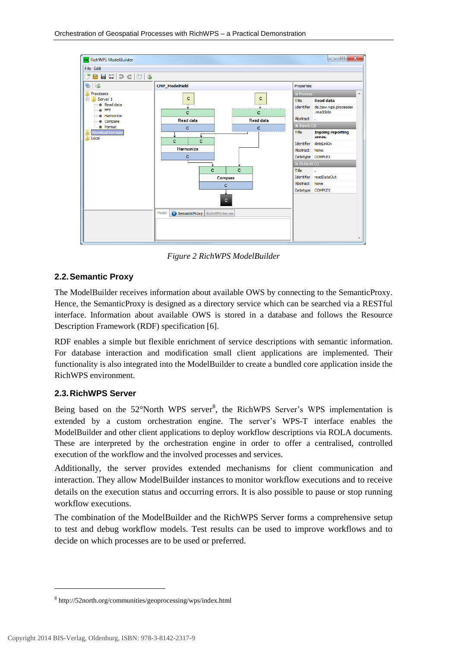

*Figure 2 RichWPS ModelBuilder* 

#### <span id="page-3-0"></span>**2.2. Semantic Proxy**

The ModelBuilder receives information about available OWS by connecting to the SemanticProxy. Hence, the SemanticProxy is designed as a directory service which can be searched via a RESTful interface. Information about available OWS is stored in a database and follows the Resource Description Framework (RDF) specification [6].

RDF enables a simple but flexible enrichment of service descriptions with semantic information. For database interaction and modification small client applications are implemented. Their functionality is also integrated into the ModelBuilder to create a bundled core application inside the RichWPS environment.

#### **2.3. RichWPS Server**

Being based on the  $52^{\circ}$ North WPS server<sup>8</sup>, the RichWPS Server's WPS implementation is extended by a custom orchestration engine. The server's WPS-T interface enables the ModelBuilder and other client applications to deploy workflow descriptions via ROLA documents. These are interpreted by the orchestration engine in order to offer a centralised, controlled execution of the workflow and the involved processes and services.

Additionally, the server provides extended mechanisms for client communication and interaction. They allow ModelBuilder instances to monitor workflow executions and to receive details on the execution status and occurring errors. It is also possible to pause or stop running workflow executions.

The combination of the ModelBuilder and the RichWPS Server forms a comprehensive setup to test and debug workflow models. Test results can be used to improve workflows and to decide on which processes are to be used or preferred.

l

<sup>8</sup> http://52north.org/communities/geoprocessing/wps/index.html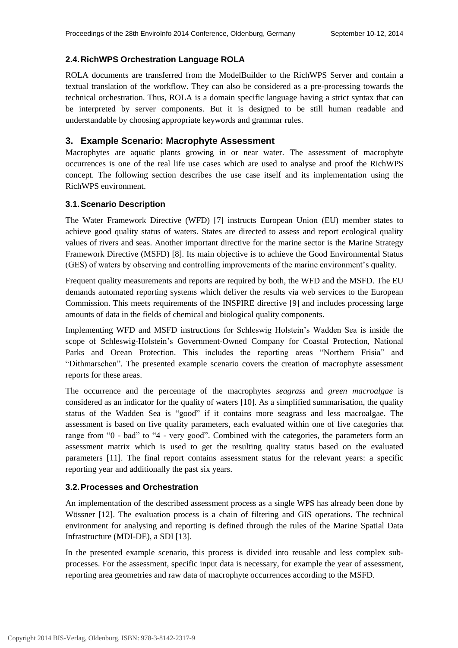#### **2.4. RichWPS Orchestration Language ROLA**

ROLA documents are transferred from the ModelBuilder to the RichWPS Server and contain a textual translation of the workflow. They can also be considered as a pre-processing towards the technical orchestration. Thus, ROLA is a domain specific language having a strict syntax that can be interpreted by server components. But it is designed to be still human readable and understandable by choosing appropriate keywords and grammar rules.

#### **3. Example Scenario: Macrophyte Assessment**

Macrophytes are aquatic plants growing in or near water. The assessment of macrophyte occurrences is one of the real life use cases which are used to analyse and proof the RichWPS concept. The following section describes the use case itself and its implementation using the RichWPS environment.

#### **3.1. Scenario Description**

The Water Framework Directive (WFD) [7] instructs European Union (EU) member states to achieve good quality status of waters. States are directed to assess and report ecological quality values of rivers and seas. Another important directive for the marine sector is the Marine Strategy Framework Directive (MSFD) [8]. Its main objective is to achieve the Good Environmental Status (GES) of waters by observing and controlling improvements of the marine environment's quality.

Frequent quality measurements and reports are required by both, the WFD and the MSFD. The EU demands automated reporting systems which deliver the results via web services to the European Commission. This meets requirements of the INSPIRE directive [9] and includes processing large amounts of data in the fields of chemical and biological quality components.

Implementing WFD and MSFD instructions for Schleswig Holstein's Wadden Sea is inside the scope of Schleswig-Holstein's Government-Owned Company for Coastal Protection, National Parks and Ocean Protection. This includes the reporting areas "Northern Frisia" and "Dithmarschen". The presented example scenario covers the creation of macrophyte assessment reports for these areas.

The occurrence and the percentage of the macrophytes *seagrass* and *green macroalgae* is considered as an indicator for the quality of waters [10]. As a simplified summarisation, the quality status of the Wadden Sea is "good" if it contains more seagrass and less macroalgae. The assessment is based on five quality parameters, each evaluated within one of five categories that range from "0 - bad" to "4 - very good". Combined with the categories, the parameters form an assessment matrix which is used to get the resulting quality status based on the evaluated parameters [11]. The final report contains assessment status for the relevant years: a specific reporting year and additionally the past six years.

#### **3.2. Processes and Orchestration**

An implementation of the described assessment process as a single WPS has already been done by Wössner [12]. The evaluation process is a chain of filtering and GIS operations. The technical environment for analysing and reporting is defined through the rules of the Marine Spatial Data Infrastructure (MDI-DE), a SDI [13].

In the presented example scenario, this process is divided into reusable and less complex subprocesses. For the assessment, specific input data is necessary, for example the year of assessment, reporting area geometries and raw data of macrophyte occurrences according to the MSFD.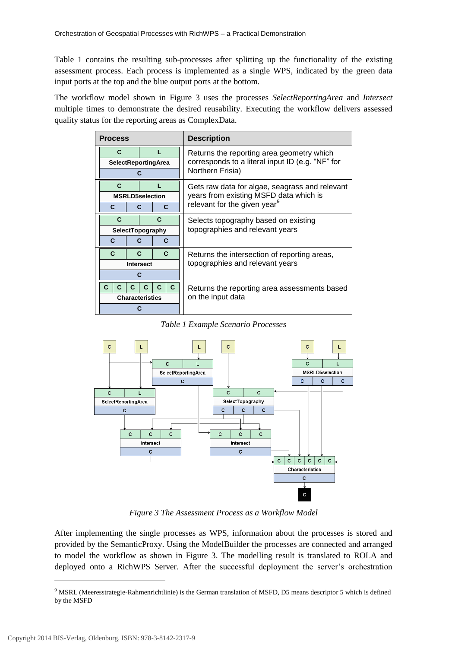[Table 1](#page-5-0) contains the resulting sub-processes after splitting up the functionality of the existing assessment process. Each process is implemented as a single WPS, indicated by the green data input ports at the top and the blue output ports at the bottom.

The workflow model shown in [Figure 3](#page-5-1) uses the processes *SelectReportingArea* and *Intersect* multiple times to demonstrate the desired reusability. Executing the workflow delivers assessed quality status for the reporting areas as ComplexData.

| <b>Process</b>         |                            |    |              |   |                                           | <b>Description</b>                                                   |
|------------------------|----------------------------|----|--------------|---|-------------------------------------------|----------------------------------------------------------------------|
| C.                     |                            |    |              |   | Returns the reporting area geometry which |                                                                      |
|                        | <b>SelectReportingArea</b> |    |              |   |                                           | corresponds to a literal input ID (e.g. "NF" for<br>Northern Frisia) |
|                        |                            |    |              |   |                                           |                                                                      |
|                        | C                          |    |              |   |                                           | Gets raw data for algae, seagrass and relevant                       |
|                        | <b>MSRLD5selection</b>     |    |              |   |                                           | years from existing MSFD data which is                               |
| C<br>С                 |                            |    |              | C | relevant for the given year <sup>9</sup>  |                                                                      |
|                        | C                          |    |              | C |                                           | Selects topography based on existing                                 |
|                        | SelectTopography           |    |              |   |                                           | topographies and relevant years                                      |
|                        | C<br>C                     |    | C            |   |                                           |                                                                      |
|                        | $\mathbf{C}$               |    | $\mathbf{C}$ |   | $\mathbf{C}$                              | Returns the intersection of reporting areas,                         |
| <b>Intersect</b>       |                            |    |              |   |                                           | topographies and relevant years                                      |
| С                      |                            |    |              |   |                                           |                                                                      |
| C                      | C                          | C. | c            |   | C.                                        | Returns the reporting area assessments based                         |
| <b>Characteristics</b> |                            |    |              |   |                                           | on the input data                                                    |
|                        |                            |    |              |   |                                           |                                                                      |

*Table 1 Example Scenario Processes* 

<span id="page-5-0"></span>

*Figure 3 The Assessment Process as a Workflow Model* 

<span id="page-5-1"></span>After implementing the single processes as WPS, information about the processes is stored and provided by the SemanticProxy. Using the ModelBuilder the processes are connected and arranged to model the workflow as shown in [Figure 3.](#page-5-1) The modelling result is translated to ROLA and deployed onto a RichWPS Server. After the successful deployment the server's orchestration

l

<sup>&</sup>lt;sup>9</sup> MSRL (Meeresstrategie-Rahmenrichtlinie) is the German translation of MSFD, D5 means descriptor 5 which is defined by the MSFD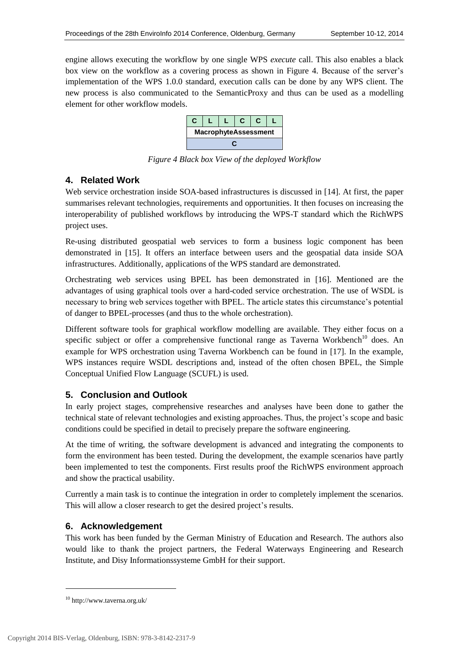engine allows executing the workflow by one single WPS *execute* call. This also enables a black box view on the workflow as a covering process as shown in [Figure 4.](#page-6-0) Because of the server's implementation of the WPS 1.0.0 standard, execution calls can be done by any WPS client. The new process is also communicated to the SemanticProxy and thus can be used as a modelling element for other workflow models.



*Figure 4 Black box View of the deployed Workflow* 

## <span id="page-6-0"></span>**4. Related Work**

Web service orchestration inside SOA-based infrastructures is discussed in [14]. At first, the paper summarises relevant technologies, requirements and opportunities. It then focuses on increasing the interoperability of published workflows by introducing the WPS-T standard which the RichWPS project uses.

Re-using distributed geospatial web services to form a business logic component has been demonstrated in [15]. It offers an interface between users and the geospatial data inside SOA infrastructures. Additionally, applications of the WPS standard are demonstrated.

Orchestrating web services using BPEL has been demonstrated in [16]. Mentioned are the advantages of using graphical tools over a hard-coded service orchestration. The use of WSDL is necessary to bring web services together with BPEL. The article states this circumstance's potential of danger to BPEL-processes (and thus to the whole orchestration).

Different software tools for graphical workflow modelling are available. They either focus on a specific subject or offer a comprehensive functional range as Taverna Workbench<sup>10</sup> does. An example for WPS orchestration using Taverna Workbench can be found in [17]. In the example, WPS instances require WSDL descriptions and, instead of the often chosen BPEL, the Simple Conceptual Unified Flow Language (SCUFL) is used.

## **5. Conclusion and Outlook**

In early project stages, comprehensive researches and analyses have been done to gather the technical state of relevant technologies and existing approaches. Thus, the project's scope and basic conditions could be specified in detail to precisely prepare the software engineering.

At the time of writing, the software development is advanced and integrating the components to form the environment has been tested. During the development, the example scenarios have partly been implemented to test the components. First results proof the RichWPS environment approach and show the practical usability.

Currently a main task is to continue the integration in order to completely implement the scenarios. This will allow a closer research to get the desired project's results.

## **6. Acknowledgement**

This work has been funded by the German Ministry of Education and Research. The authors also would like to thank the project partners, the Federal Waterways Engineering and Research Institute, and Disy Informationssysteme GmbH for their support.

1

 $^{10}$ http://www.taverna.org.uk/